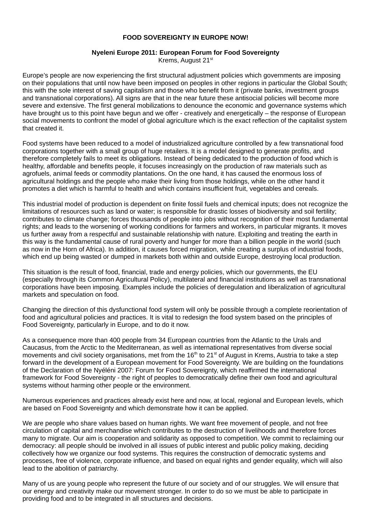## **FOOD SOVEREIGNTY IN EUROPE NOW!**

#### **Nyeleni Europe 2011: European Forum for Food Sovereignty** Krems, August 21st

Europe's people are now experiencing the first structural adjustment policies which governments are imposing on their populations that until now have been imposed on peoples in other regions in particular the Global South; this with the sole interest of saving capitalism and those who benefit from it (private banks, investment groups and transnational corporations). All signs are that in the near future these antisocial policies will become more severe and extensive. The first general mobilizations to denounce the economic and governance systems which have brought us to this point have begun and we offer - creatively and energetically – the response of European social movements to confront the model of global agriculture which is the exact reflection of the capitalist system that created it.

Food systems have been reduced to a model of industrialized agriculture controlled by a few transnational food corporations together with a small group of huge retailers. It is a model designed to generate profits, and therefore completely fails to meet its obligations. Instead of being dedicated to the production of food which is healthy, affordable and benefits people, it focuses increasingly on the production of raw materials such as agrofuels, animal feeds or commodity plantations. On the one hand, it has caused the enormous loss of agricultural holdings and the people who make their living from those holdings, while on the other hand it promotes a diet which is harmful to health and which contains insufficient fruit, vegetables and cereals.

This industrial model of production is dependent on finite fossil fuels and chemical inputs; does not recognize the limitations of resources such as land or water; is responsible for drastic losses of biodiversity and soil fertility; contributes to climate change; forces thousands of people into jobs without recognition of their most fundamental rights; and leads to the worsening of working conditions for farmers and workers, in particular migrants. It moves us further away from a respectful and sustainable relationship with nature. Exploiting and treating the earth in this way is the fundamental cause of rural poverty and hunger for more than a billion people in the world (such as now in the Horn of Africa). In addition, it causes forced migration, while creating a surplus of industrial foods, which end up being wasted or dumped in markets both within and outside Europe, destroying local production.

This situation is the result of food, financial, trade and energy policies, which our governments, the EU (especially through its Common Agricultural Policy), multilateral and financial institutions as well as transnational corporations have been imposing. Examples include the policies of deregulation and liberalization of agricultural markets and speculation on food.

Changing the direction of this dysfunctional food system will only be possible through a complete reorientation of food and agricultural policies and practices. It is vital to redesign the food system based on the principles of Food Sovereignty, particularly in Europe, and to do it now.

As a consequence more than 400 people from 34 European countries from the Atlantic to the Urals and Caucasus, from the Arctic to the Mediterranean, as well as international representatives from diverse social movements and civil society organisations, met from the  $16<sup>th</sup>$  to  $21<sup>st</sup>$  of August in Krems, Austria to take a step forward in the development of a European movement for Food Sovereignty. We are building on the foundations of the Declaration of the Nyéléni 2007: Forum for Food Sovereignty, which reaffirmed the international framework for Food Sovereignty - the right of peoples to democratically define their own food and agricultural systems without harming other people or the environment.

Numerous experiences and practices already exist here and now, at local, regional and European levels, which are based on Food Sovereignty and which demonstrate how it can be applied.

We are people who share values based on human rights. We want free movement of people, and not free circulation of capital and merchandise which contributes to the destruction of livelihoods and therefore forces many to migrate. Our aim is cooperation and solidarity as opposed to competition. We commit to reclaiming our democracy: all people should be involved in all issues of public interest and public policy making, deciding collectively how we organize our food systems. This requires the construction of democratic systems and processes, free of violence, corporate influence, and based on equal rights and gender equality, which will also lead to the abolition of patriarchy.

Many of us are young people who represent the future of our society and of our struggles. We will ensure that our energy and creativity make our movement stronger. In order to do so we must be able to participate in providing food and to be integrated in all structures and decisions.